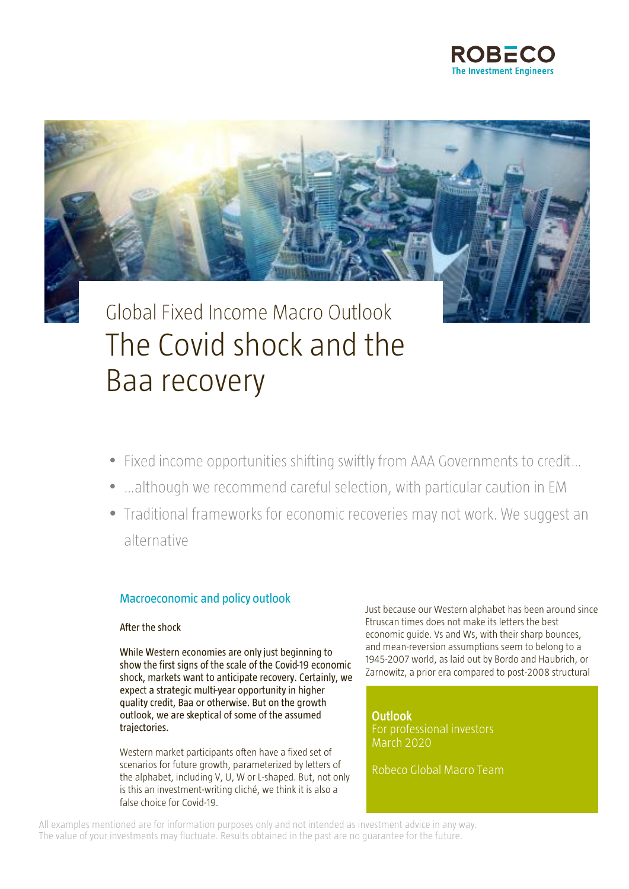



# Global Fixed Income Macro Outlook The Covid shock and the Baa recovery

- Fixed income opportunities shifting swiftly from AAA Governments to credit...
- ... although we recommend careful selection, with particular caution in EM
- Traditional frameworks for economic recoveries may not work. We suggest an alternative

### **Macroeconomic and policy outlook**

### After the shock

While Western economies are only just beginning to show the first signs of the scale of the Covid-19 economic shock, markets want to anticipate recovery. Certainly, we expect a strategic multi-year opportunity in higher quality credit, Baa or otherwise. But on the growth outlook, we are skeptical of some of the assumed trajectories.

Western market participants often have a fixed set of scenarios for future growth, parameterized by letters of the alphabet, including V, U, W or L-shaped. But, not only is this an investment-writing cliché, we think it is also a false choice for Covid-19.

Just because our Western alphabet has been around since Etruscan times does not make its letters the best economic guide. Vs and Ws, with their sharp bounces, and mean-reversion assumptions seem to belong to a 1945-2007 world, as laid out by Bordo and Haubrich, or Zarnowitz, a prior era compared to post-2008 structural

**Outlook** For professional investors March 2020

Robeco Global Macro Team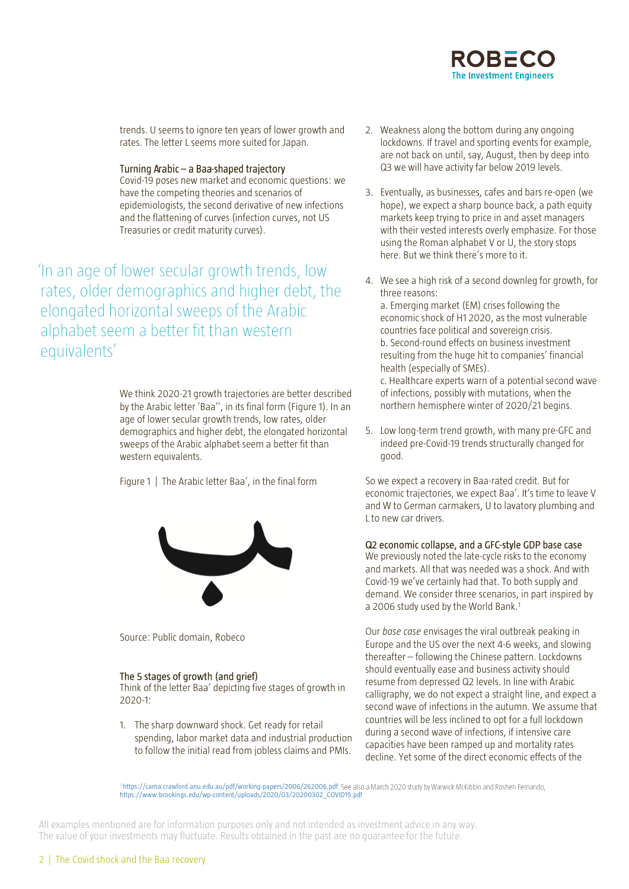trends. U seems to ignore ten years of lower growth and rates. The letter L seems more suited for Japan.

Turning Arabic - a Baa-shaped trajectory

Covid-19 poses new market and economic questions: we have the competing theories and scenarios of epidemiologists, the second derivative of new infections and the flattening of curves (infection curves, not US Treasuries or credit maturity curves).

In an age of lower secular growth trends, low rates, older demographics and higher debt, the elongated horizontal sweeps of the Arabic alphabet seem a better fit than western equivalents'

> We think 2020-21 growth trajectories are better described by the Arabic letter 'Baa'', in its final form (Figure 1). In an age of lower secular growth trends, low rates, older demographics and higher debt, the elongated horizontal sweeps of the Arabic alphabet seem a better fit than western equivalents.

Figure 1 | The Arabic letter Baa', in the final form



Source: Public domain, Robeco

### The 5 stages of growth (and grief)

Think of the letter Baa' depicting five stages of growth in 2020-1:

1. The sharp downward shock. Get ready for retail spending, labor market data and industrial production to follow the initial read from jobless claims and PMIs.

- 2. Weakness along the bottom during any ongoing lockdowns. If travel and sporting events for example, are not back on until, say, August, then by deep into Q3 we will have activity far below 2019 levels.
- 3. Eventually, as businesses, cafes and bars re-open (we hope), we expect a sharp bounce back, a path equity markets keep trying to price in and asset managers with their vested interests overly emphasize. For those using the Roman alphabet V or U, the story stops here. But we think there's more to it.
- 4. We see a high risk of a second downleg for growth, for three reasons: a. Emerging market (EM) crises following the economic shock of H1 2020, as the most vulnerable countries face political and sovereign crisis. b. Second-round effects on business investment resulting from the huge hit to companies' financial health (especially of SMEs). c. Healthcare experts warn of a potential second wave of infections, possibly with mutations, when the northern hemisphere winter of 2020/21 begins.
- 5. Low long-term trend growth, with many pre-GFC and indeed pre-Covid-19 trends structurally changed for good.

So we expect a recovery in Baa-rated credit. But for economic trajectories, we expect Baa'. It's time to leave V and W to German carmakers, U to lavatory plumbing and L to new car drivers.

### Q2 economic collapse, and a GFC-style GDP base case

We previously noted the late-cycle risks to the economy and markets. All that was needed was a shock. And with Covid-19 we've certainly had that. To both supply and demand. We consider three scenarios, in part inspired by a 2006 study used by the World Bank. 1

Our *base case* envisages the viral outbreak peaking in Europe and the US over the next 4-6 weeks, and slowing thereafter – following the Chinese pattern. Lockdowns should eventually ease and business activity should resume from depressed Q2 levels. In line with Arabic calligraphy, we do not expect a straight line, and expect a second wave of infections in the autumn. We assume that countries will be less inclined to opt for a full lockdown during a second wave of infections, if intensive care capacities have been ramped up and mortality rates decline. Yet some of the direct economic effects of the

<https://cama.crawford.anu.edu.au/pdf/working-papers/2006/262006.pdf> [https://www.brookings.edu/wp-content/uploads/2020/03/20200302\\_COVID19.pdf](https://www.brookings.edu/wp-content/uploads/2020/03/20200302_COVID19.pdf)

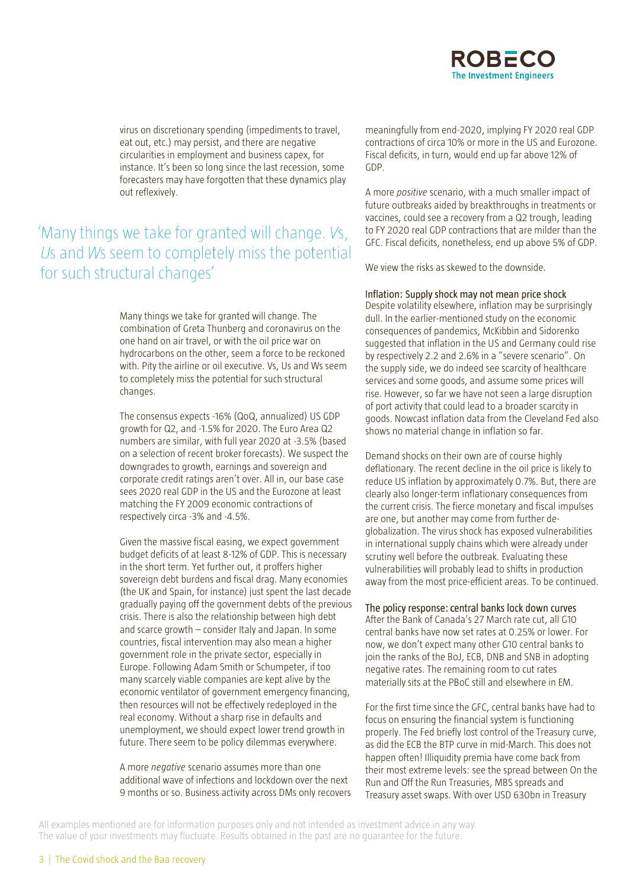virus on discretionary spending (impediments to travel, eat out, etc.) may persist, and there are negative circularities in employment and business capex, for instance. It's been so long since the last recession, some forecasters may have forgotten that these dynamics play out reflexively.

## 'Many things we take for granted will change. Vs, Us and Ws seem to completely miss the potential for such structural changes'

Many things we take for granted will change. The combination of Greta Thunberg and coronavirus on the one hand on air travel, or with the oil price war on hydrocarbons on the other, seem a force to be reckoned with. Pity the airline or oil executive. Vs, Us and Ws seem to completely miss the potential for such structural changes.

The consensus expects -16% (QoQ, annualized) US GDP growth for Q2, and -1.5% for 2020. The Euro Area Q2 numbers are similar, with full year 2020 at -3.5% (based on a selection of recent broker forecasts). We suspect the downgrades to growth, earnings and sovereign and corporate credit ratings aren't over. All in, our base case sees 2020 real GDP in the US and the Eurozone at least matching the FY 2009 economic contractions of respectively circa -3% and -4.5%.

Given the massive fiscal easing, we expect government budget deficits of at least 8-12% of GDP. This is necessary in the short term. Yet further out, it proffers higher sovereign debt burdens and fiscal drag. Many economies (the UK and Spain, for instance) just spent the last decade gradually paying off the government debts of the previous crisis. There is also the relationship between high debt and scarce growth – consider Italy and Japan. In some countries, fiscal intervention may also mean a higher government role in the private sector, especially in Europe. Following Adam Smith or Schumpeter, if too many scarcely viable companies are kept alive by the economic ventilator of government emergency financing, then resources will not be effectively redeployed in the real economy. Without a sharp rise in defaults and unemployment, we should expect lower trend growth in future. There seem to be policy dilemmas everywhere.

A more *negative* scenario assumes more than one additional wave of infections and lockdown over the next 9 months or so. Business activity across DMs only recovers

meaningfully from end-2020, implying FY 2020 real GDP contractions of circa 10% or more in the US and Eurozone. Fiscal deficits, in turn, would end up far above 12% of GDP.

A more *positive* scenario, with a much smaller impact of future outbreaks aided by breakthroughs in treatments or vaccines, could see a recovery from a Q2 trough, leading to FY 2020 real GDP contractions that are milder than the GFC. Fiscal deficits, nonetheless, end up above 5% of GDP.

We view the risks as skewed to the downside.

#### Inflation: Supply shock may not mean price shock

Despite volatility elsewhere, inflation may be surprisingly dull. In the earlier-mentioned study on the economic consequences of pandemics, McKibbin and Sidorenko suggested that inflation in the US and Germany could rise by respectively 2.2 and 2.6% in a "severe scenario". On the supply side, we do indeed see scarcity of healthcare services and some goods, and assume some prices will rise. However, so far we have not seen a large disruption of port activity that could lead to a broader scarcity in goods. Nowcast inflation data from the Cleveland Fed also shows no material change in inflation so far.

Demand shocks on their own are of course highly deflationary. The recent decline in the oil price is likely to reduce US inflation by approximately 0.7%. But, there are clearly also longer-term inflationary consequences from the current crisis. The fierce monetary and fiscal impulses are one, but another may come from further deglobalization. The virus shock has exposed vulnerabilities in international supply chains which were already under scrutiny well before the outbreak. Evaluating these vulnerabilities will probably lead to shifts in production away from the most price-efficient areas. To be continued.

#### The policy response: central banks lock down curves

After the Bank of Canada's 27 March rate cut, all G10 central banks have now set rates at 0.25% or lower. For now, we don't expect many other G10 central banks to join the ranks of the BoJ, ECB, DNB and SNB in adopting negative rates. The remaining room to cut rates materially sits at the PBoC still and elsewhere in EM.

For the first time since the GFC, central banks have had to focus on ensuring the financial system is functioning properly. The Fed briefly lost control of the Treasury curve, as did the ECB the BTP curve in mid-March. This does not happen often! Illiquidity premia have come back from their most extreme levels: see the spread between On the Run and Off the Run Treasuries, MBS spreads and Treasury asset swaps. With over USD 630bn in Treasury

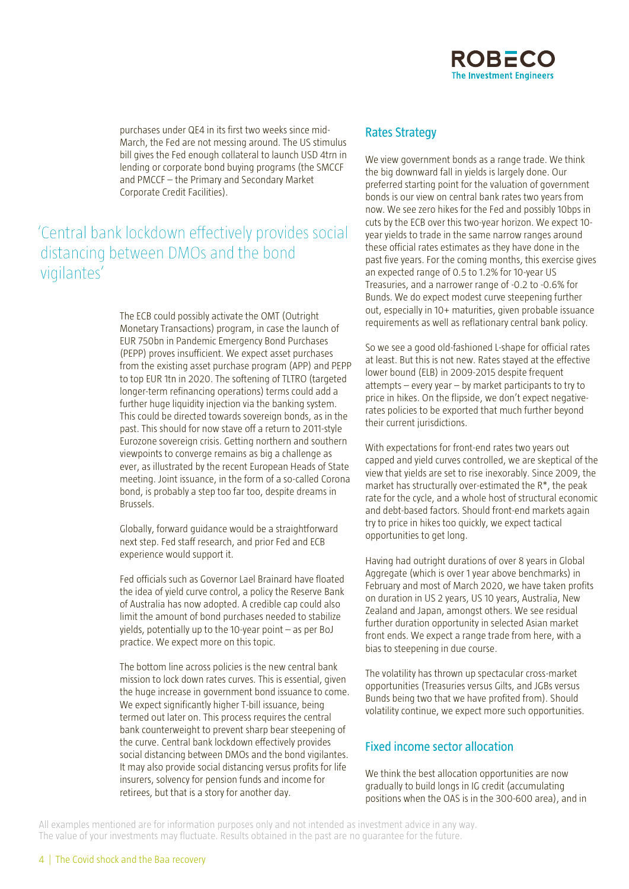

purchases under QE4 in its first two weeks since mid-March, the Fed are not messing around. The US stimulus bill gives the Fed enough collateral to launch USD 4trn in lending or corporate bond buying programs (the SMCCF and PMCCF – the Primary and Secondary Market Corporate Credit Facilities).

## 'Central bank lockdown effectively provides social distancing between DMOs and the bond vigilantes'

The ECB could possibly activate the OMT (Outright Monetary Transactions) program, in case the launch of EUR 750bn in Pandemic Emergency Bond Purchases (PEPP) proves insufficient. We expect asset purchases from the existing asset purchase program (APP) and PEPP to top EUR 1tn in 2020. The softening of TLTRO (targeted longer-term refinancing operations) terms could add a further huge liquidity injection via the banking system. This could be directed towards sovereign bonds, as in the past. This should for now stave off a return to 2011-style Eurozone sovereign crisis. Getting northern and southern viewpoints to converge remains as big a challenge as ever, as illustrated by the recent European Heads of State meeting. Joint issuance, in the form of a so-called Corona bond, is probably a step too far too, despite dreams in Brussels.

Globally, forward guidance would be a straightforward next step. Fed staff research, and prior Fed and ECB experience would support it.

Fed officials such as Governor Lael Brainard have floated the idea of yield curve control, a policy the Reserve Bank of Australia has now adopted. A credible cap could also limit the amount of bond purchases needed to stabilize yields, potentially up to the 10-year point – as per BoJ practice. We expect more on this topic.

The bottom line across policies is the new central bank mission to lock down rates curves. This is essential, given the huge increase in government bond issuance to come. We expect significantly higher T-bill issuance, being termed out later on. This process requires the central bank counterweight to prevent sharp bear steepening of the curve. Central bank lockdown effectively provides social distancing between DMOs and the bond vigilantes. It may also provide social distancing versus profits for life insurers, solvency for pension funds and income for retirees, but that is a story for another day.

### **Rates Strategy**

We view government bonds as a range trade. We think the big downward fall in yields is largely done. Our preferred starting point for the valuation of government bonds is our view on central bank rates two years from now. We see zero hikes for the Fed and possibly 10bps in cuts by the ECB over this two-year horizon. We expect 10 year yields to trade in the same narrow ranges around these official rates estimates as they have done in the past five years. For the coming months, this exercise gives an expected range of 0.5 to 1.2% for 10-year US Treasuries, and a narrower range of -0.2 to -0.6% for Bunds. We do expect modest curve steepening further out, especially in 10+ maturities, given probable issuance requirements as well as reflationary central bank policy.

So we see a good old-fashioned L-shape for official rates at least. But this is not new. Rates stayed at the effective lower bound (ELB) in 2009-2015 despite frequent attempts – every year – by market participants to try to price in hikes. On the flipside, we don't expect negativerates policies to be exported that much further beyond their current jurisdictions.

With expectations for front-end rates two years out capped and yield curves controlled, we are skeptical of the view that yields are set to rise inexorably. Since 2009, the market has structurally over-estimated the R\*, the peak rate for the cycle, and a whole host of structural economic and debt-based factors. Should front-end markets again try to price in hikes too quickly, we expect tactical opportunities to get long.

Having had outright durations of over 8 years in Global Aggregate (which is over 1 year above benchmarks) in February and most of March 2020, we have taken profits on duration in US 2 years, US 10 years, Australia, New Zealand and Japan, amongst others. We see residual further duration opportunity in selected Asian market front ends. We expect a range trade from here, with a bias to steepening in due course.

The volatility has thrown up spectacular cross-market opportunities (Treasuries versus Gilts, and JGBs versus Bunds being two that we have profited from). Should volatility continue, we expect more such opportunities.

### **Fixed income sector allocation**

We think the best allocation opportunities are now gradually to build longs in IG credit (accumulating positions when the OAS is in the 300-600 area), and in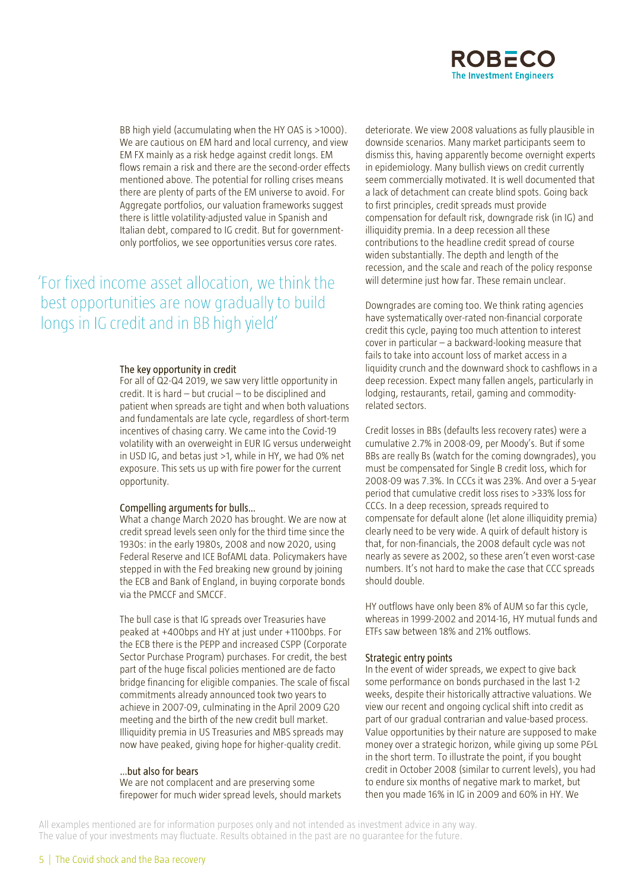

BB high yield (accumulating when the HY OAS is >1000). We are cautious on EM hard and local currency, and view EM FX mainly as a risk hedge against credit longs. EM flows remain a risk and there are the second-order effects mentioned above. The potential for rolling crises means there are plenty of parts of the EM universe to avoid. For Aggregate portfolios, our valuation frameworks suggest there is little volatility-adjusted value in Spanish and Italian debt, compared to IG credit. But for governmentonly portfolios, we see opportunities versus core rates.

'For fixed income asset allocation, we think the best opportunities are now gradually to build longs in IG credit and in BB high yield'

#### The key opportunity in credit

For all of Q2-Q4 2019, we saw very little opportunity in credit. It is hard – but crucial – to be disciplined and patient when spreads are tight and when both valuations and fundamentals are late cycle, regardless of short-term incentives of chasing carry. We came into the Covid-19 volatility with an overweight in EUR IG versus underweight in USD IG, and betas just >1, while in HY, we had 0% net exposure. This sets us up with fire power for the current opportunity.

#### Compelling arguments for bulls...

What a change March 2020 has brought. We are now at credit spread levels seen only for the third time since the 1930s: in the early 1980s, 2008 and now 2020, using Federal Reserve and ICE BofAML data. Policymakers have stepped in with the Fed breaking new ground by joining the ECB and Bank of England, in buying corporate bonds via the PMCCF and SMCCF.

The bull case is that IG spreads over Treasuries have peaked at +400bps and HY at just under +1100bps. For the ECB there is the PEPP and increased CSPP (Corporate Sector Purchase Program) purchases. For credit, the best part of the huge fiscal policies mentioned are de facto bridge financing for eligible companies. The scale of fiscal commitments already announced took two years to achieve in 2007-09, culminating in the April 2009 G20 meeting and the birth of the new credit bull market. Illiquidity premia in US Treasuries and MBS spreads may now have peaked, giving hope for higher-quality credit.

### ...but also for bears

We are not complacent and are preserving some firepower for much wider spread levels, should markets

deteriorate. We view 2008 valuations as fully plausible in downside scenarios. Many market participants seem to dismiss this, having apparently become overnight experts in epidemiology. Many bullish views on credit currently seem commercially motivated. It is well documented that a lack of detachment can create blind spots. Going back to first principles, credit spreads must provide compensation for default risk, downgrade risk (in IG) and illiquidity premia. In a deep recession all these contributions to the headline credit spread of course widen substantially. The depth and length of the recession, and the scale and reach of the policy response will determine just how far. These remain unclear.

Downgrades are coming too. We think rating agencies have systematically over-rated non-financial corporate credit this cycle, paying too much attention to interest cover in particular – a backward-looking measure that fails to take into account loss of market access in a liquidity crunch and the downward shock to cashflows in a deep recession. Expect many fallen angels, particularly in lodging, restaurants, retail, gaming and commodityrelated sectors.

Credit losses in BBs (defaults less recovery rates) were a cumulative 2.7% in 2008-09, per Moody's. But if some BBs are really Bs (watch for the coming downgrades), you must be compensated for Single B credit loss, which for 2008-09 was 7.3%. In CCCs it was 23%. And over a 5-year period that cumulative credit loss rises to >33% loss for CCCs. In a deep recession, spreads required to compensate for default alone (let alone illiquidity premia) clearly need to be very wide. A quirk of default history is that, for non-financials, the 2008 default cycle was not nearly as severe as 2002, so these aren't even worst-case numbers. It's not hard to make the case that CCC spreads should double.

HY outflows have only been 8% of AUM so far this cycle, whereas in 1999-2002 and 2014-16, HY mutual funds and ETFs saw between 18% and 21% outflows.

#### Strategic entry points

In the event of wider spreads, we expect to give back some performance on bonds purchased in the last 1-2 weeks, despite their historically attractive valuations. We view our recent and ongoing cyclical shift into credit as part of our gradual contrarian and value-based process. Value opportunities by their nature are supposed to make money over a strategic horizon, while giving up some P&L in the short term. To illustrate the point, if you bought credit in October 2008 (similar to current levels), you had to endure six months of negative mark to market, but then you made 16% in IG in 2009 and 60% in HY. We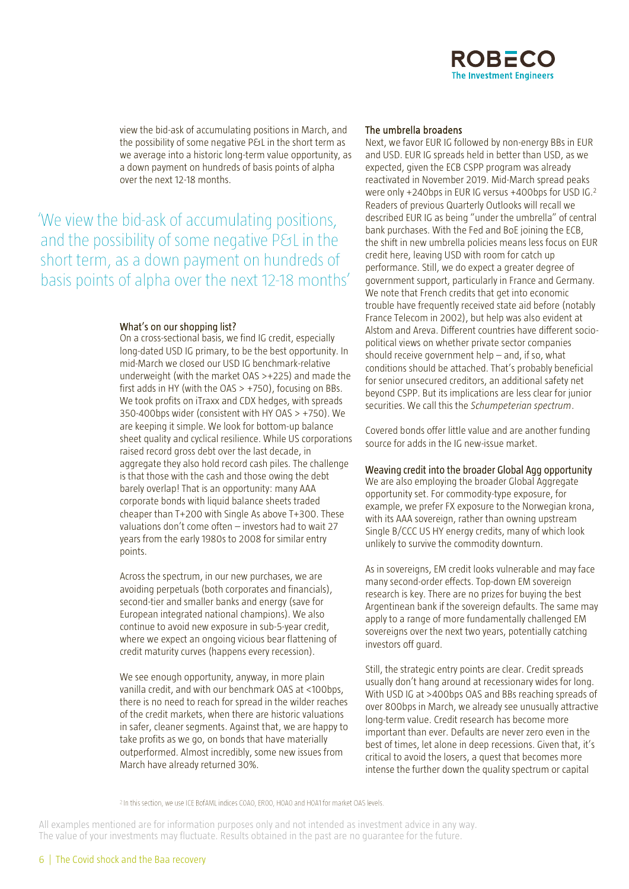

view the bid-ask of accumulating positions in March, and the possibility of some negative P&L in the short term as we average into a historic long-term value opportunity, as a down payment on hundreds of basis points of alpha over the next 12-18 months.

'We view the bid-ask of accumulating positions, and the possibility of some negative P&L in the short term, as a down payment on hundreds of basis points of alpha over the next 12-18 months'

#### What's on our shopping list?

On a cross-sectional basis, we find IG credit, especially long-dated USD IG primary, to be the best opportunity. In mid-March we closed our USD IG benchmark-relative underweight (with the market OAS >+225) and made the first adds in HY (with the  $OAS > +750$ ), focusing on BBs. We took profits on iTraxx and CDX hedges, with spreads 350-400bps wider (consistent with HY OAS > +750). We are keeping it simple. We look for bottom-up balance sheet quality and cyclical resilience. While US corporations raised record gross debt over the last decade, in aggregate they also hold record cash piles. The challenge is that those with the cash and those owing the debt barely overlap! That is an opportunity: many AAA corporate bonds with liquid balance sheets traded cheaper than T+200 with Single As above T+300. These valuations don't come often – investors had to wait 27 years from the early 1980s to 2008 for similar entry points.

Across the spectrum, in our new purchases, we are avoiding perpetuals (both corporates and financials), second-tier and smaller banks and energy (save for European integrated national champions). We also continue to avoid new exposure in sub-5-year credit, where we expect an ongoing vicious bear flattening of credit maturity curves (happens every recession).

We see enough opportunity, anyway, in more plain vanilla credit, and with our benchmark OAS at <100bps, there is no need to reach for spread in the wilder reaches of the credit markets, when there are historic valuations in safer, cleaner segments. Against that, we are happy to take profits as we go, on bonds that have materially outperformed. Almost incredibly, some new issues from March have already returned 30%.

#### The umbrella broadens

Next, we favor EUR IG followed by non-energy BBs in EUR and USD. EUR IG spreads held in better than USD, as we expected, given the ECB CSPP program was already reactivated in November 2019. Mid-March spread peaks were only +240bps in EUR IG versus +400bps for USD IG.<sup>2</sup> Readers of previous Quarterly Outlooks will recall we described EUR IG as being "under the umbrella" of central bank purchases. With the Fed and BoE joining the ECB, the shift in new umbrella policies means less focus on EUR credit here, leaving USD with room for catch up performance. Still, we do expect a greater degree of government support, particularly in France and Germany. We note that French credits that get into economic trouble have frequently received state aid before (notably France Telecom in 2002), but help was also evident at Alstom and Areva. Different countries have different sociopolitical views on whether private sector companies should receive government help – and, if so, what conditions should be attached. That's probably beneficial for senior unsecured creditors, an additional safety net beyond CSPP. But its implications are less clear for junior securities. We call this the *Schumpeterian spectrum*.

Covered bonds offer little value and are another funding source for adds in the IG new-issue market.

### Weaving credit into the broader Global Agg opportunity

We are also employing the broader Global Aggregate opportunity set. For commodity-type exposure, for example, we prefer FX exposure to the Norwegian krona, with its AAA sovereign, rather than owning upstream Single B/CCC US HY energy credits, many of which look unlikely to survive the commodity downturn.

As in sovereigns, EM credit looks vulnerable and may face many second-order effects. Top-down EM sovereign research is key. There are no prizes for buying the best Argentinean bank if the sovereign defaults. The same may apply to a range of more fundamentally challenged EM sovereigns over the next two years, potentially catching investors off guard.

Still, the strategic entry points are clear. Credit spreads usually don't hang around at recessionary wides for long. With USD IG at >400bps OAS and BBs reaching spreads of over 800bps in March, we already see unusually attractive long-term value. Credit research has become more important than ever. Defaults are never zero even in the best of times, let alone in deep recessions. Given that, it's critical to avoid the losers, a quest that becomes more intense the further down the quality spectrum or capital

<sup>2</sup> In this section, we use ICE BofAML indices COAO, EROO, HOAO and HOA1 for market OAS levels.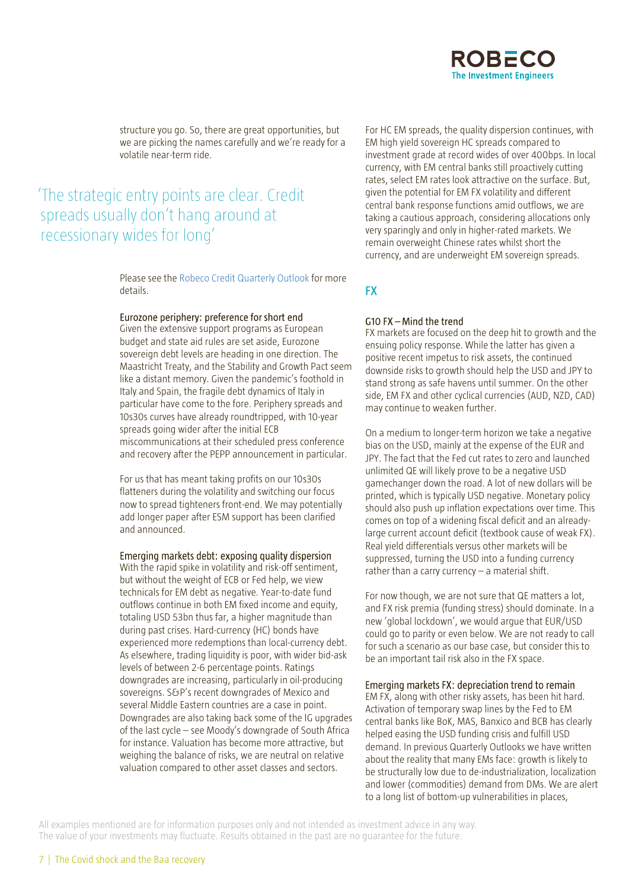structure you go. So, there are great opportunities, but we are picking the names carefully and we're ready for a volatile near-term ride.

## The strategic entry points are clear. Credit spreads usually don't hang around at recessionary wides for long'

Please see the [Robeco Credit Quarterly Outlook](https://www.robeco.com/en/insights/2020/03/credit-outlook-the-common-enemy.html?ite=6867&ito=2401&itq=4aa33cd6-ca22-4971-b241-bf3ef8ee6d72&itx%5Bidio%5D=2011) for more details.

#### Eurozone periphery: preference for short end

Given the extensive support programs as European budget and state aid rules are set aside, Eurozone sovereign debt levels are heading in one direction. The Maastricht Treaty, and the Stability and Growth Pact seem like a distant memory. Given the pandemic's foothold in Italy and Spain, the fragile debt dynamics of Italy in particular have come to the fore. Periphery spreads and 10s30s curves have already roundtripped, with 10-year spreads going wider after the initial ECB miscommunications at their scheduled press conference and recovery after the PEPP announcement in particular.

For us that has meant taking profits on our 10s30s flatteners during the volatility and switching our focus now to spread tighteners front-end. We may potentially add longer paper after ESM support has been clarified and announced.

#### Emerging markets debt: exposing quality dispersion With the rapid spike in volatility and risk-off sentiment,

but without the weight of ECB or Fed help, we view technicals for EM debt as negative. Year-to-date fund outflows continue in both EM fixed income and equity, totaling USD 53bn thus far, a higher magnitude than during past crises. Hard-currency (HC) bonds have experienced more redemptions than local-currency debt. As elsewhere, trading liquidity is poor, with wider bid-ask levels of between 2-6 percentage points. Ratings downgrades are increasing, particularly in oil-producing sovereigns. S&P's recent downgrades of Mexico and several Middle Eastern countries are a case in point. Downgrades are also taking back some of the IG upgrades of the last cycle – see Moody's downgrade of South Africa for instance. Valuation has become more attractive, but weighing the balance of risks, we are neutral on relative valuation compared to other asset classes and sectors.

For HC EM spreads, the quality dispersion continues, with EM high yield sovereign HC spreads compared to investment grade at record wides of over 400bps. In local currency, with EM central banks still proactively cutting rates, select EM rates look attractive on the surface. But, given the potential for EM FX volatility and different central bank response functions amid outflows, we are taking a cautious approach, considering allocations only very sparingly and only in higher-rated markets. We remain overweight Chinese rates whilst short the currency, and are underweight EM sovereign spreads.

### **FX**

### $G10$  FX  $-$  Mind the trend

FX markets are focused on the deep hit to growth and the ensuing policy response. While the latter has given a positive recent impetus to risk assets, the continued downside risks to growth should help the USD and JPY to stand strong as safe havens until summer. On the other side, EM FX and other cyclical currencies (AUD, NZD, CAD) may continue to weaken further.

On a medium to longer-term horizon we take a negative bias on the USD, mainly at the expense of the EUR and JPY. The fact that the Fed cut rates to zero and launched unlimited QE will likely prove to be a negative USD gamechanger down the road. A lot of new dollars will be printed, which is typically USD negative. Monetary policy should also push up inflation expectations over time. This comes on top of a widening fiscal deficit and an alreadylarge current account deficit (textbook cause of weak FX). Real yield differentials versus other markets will be suppressed, turning the USD into a funding currency rather than a carry currency – a material shift.

For now though, we are not sure that QE matters a lot, and FX risk premia (funding stress) should dominate. In a new 'global lockdown', we would argue that EUR/USD could go to parity or even below. We are not ready to call for such a scenario as our base case, but consider this to be an important tail risk also in the FX space.

#### Emerging markets FX: depreciation trend to remain

EM FX, along with other risky assets, has been hit hard. Activation of temporary swap lines by the Fed to EM central banks like BoK, MAS, Banxico and BCB has clearly helped easing the USD funding crisis and fulfill USD demand. In previous Quarterly Outlooks we have written about the reality that many EMs face: growth is likely to be structurally low due to de-industrialization, localization and lower (commodities) demand from DMs. We are alert to a long list of bottom-up vulnerabilities in places,

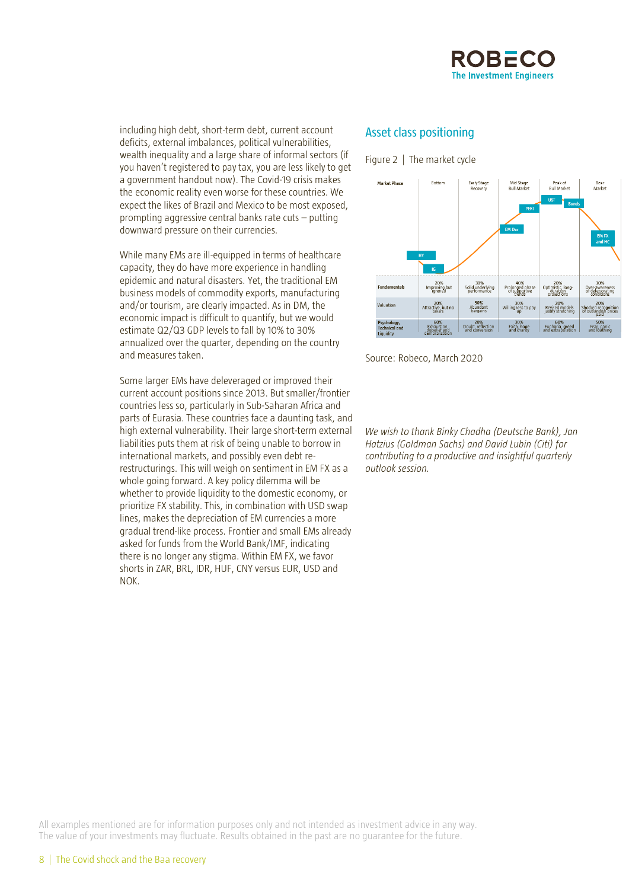

including high debt, short-term debt, current account deficits, external imbalances, political vulnerabilities, wealth inequality and a large share of informal sectors (if you haven't registered to pay tax, you are less likely to get a government handout now). The Covid-19 crisis makes the economic reality even worse for these countries. We expect the likes of Brazil and Mexico to be most exposed, prompting aggressive central banks rate cuts – putting downward pressure on their currencies.

While many EMs are ill-equipped in terms of healthcare capacity, they do have more experience in handling epidemic and natural disasters. Yet, the traditional EM business models of commodity exports, manufacturing and/or tourism, are clearly impacted. As in DM, the economic impact is difficult to quantify, but we would estimate Q2/Q3 GDP levels to fall by 10% to 30% annualized over the quarter, depending on the country and measures taken.

Some larger EMs have deleveraged or improved their current account positions since 2013. But smaller/frontier countries less so, particularly in Sub-Saharan Africa and parts of Eurasia. These countries face a daunting task, and high external vulnerability. Their large short-term external liabilities puts them at risk of being unable to borrow in international markets, and possibly even debt rerestructurings. This will weigh on sentiment in EM FX as a whole going forward. A key policy dilemma will be whether to provide liquidity to the domestic economy, or prioritize FX stability. This, in combination with USD swap lines, makes the depreciation of EM currencies a more gradual trend-like process. Frontier and small EMs already asked for funds from the World Bank/IMF, indicating there is no longer any stigma. Within EM FX, we favor shorts in ZAR, BRL, IDR, HUF, CNY versus EUR, USD and NOK.

### **Asset class positioning**

Figure 2 | The market cycle



Source: Robeco, March 2020

*We wish to thank Binky Chadha (Deutsche Bank), Jan Hatzius (Goldman Sachs) and David Lubin (Citi) for contributing to a productive and insightful quarterly outlook session.*